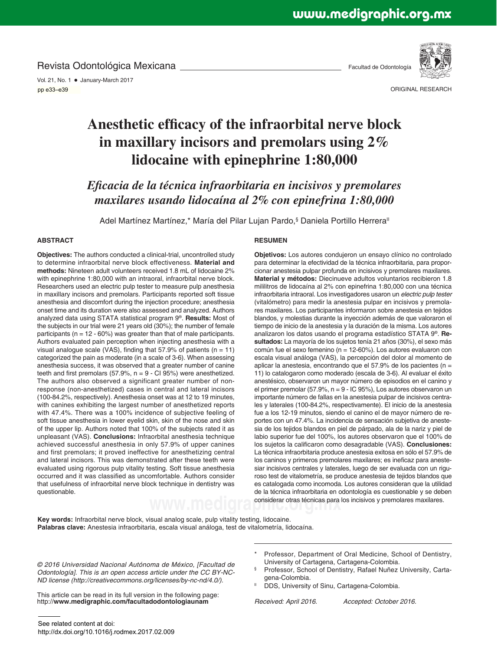Revista Odontológica Mexicana

Vol. 21, No. 1 · January-March 2017 pp 33-39 pp e33–e39

Facultad de Odontología



ORIGINAL RESEARCH

# Anesthetic efficacy of the infraorbital nerve block **in maxillary incisors and premolars using 2% lidocaine with epinephrine 1:80,000**

*Eficacia de la técnica infraorbitaria en incisivos y premolares maxilares usando lidocaína al 2% con epinefrina 1:80,000*

Adel Martínez Martínez,\* María del Pilar Lujan Pardo,§ Daniela Portillo Herrera<sup>ll</sup>

## **ABSTRACT**

**Objectives:** The authors conducted a clinical-trial, uncontrolled study to determine infraorbital nerve block effectiveness. **Material and methods:** Nineteen adult volunteers received 1.8 mL of lidocaine 2% with epinephrine 1:80,000 with an intraoral, infraorbital nerve block. Researchers used an electric pulp tester to measure pulp anesthesia in maxillary incisors and premolars. Participants reported soft tissue anesthesia and discomfort during the injection procedure; anesthesia onset time and its duration were also assessed and analyzed. Authors analyzed data using STATA statistical program 9® . **Results:** Most of the subjects in our trial were 21 years old (30%); the number of female participants ( $n = 12 - 60\%$ ) was greater than that of male participants. Authors evaluated pain perception when injecting anesthesia with a visual analogue scale (VAS), finding that  $57.9\%$  of patients (n = 11) categorized the pain as moderate (in a scale of 3-6). When assessing anesthesia success, it was observed that a greater number of canine teeth and first premolars (57.9%,  $n = 9$  - Cl 95%) were anesthetized. The authors also observed a significant greater number of nonresponse (non-anesthetized) cases in central and lateral incisors (100-84.2%, respectively). Anesthesia onset was at 12 to 19 minutes, with canines exhibiting the largest number of anesthetized reports with 47.4%. There was a 100% incidence of subjective feeling of soft tissue anesthesia in lower eyelid skin, skin of the nose and skin of the upper lip. Authors noted that 100% of the subjects rated it as unpleasant (VAS). **Conclusions:** Infraorbital anesthesia technique achieved successful anesthesia in only 57.9% of upper canines and first premolars; it proved ineffective for anesthetizing central and lateral incisors. This was demonstrated after these teeth were evaluated using rigorous pulp vitality testing. Soft tissue anesthesia occurred and it was classified as uncomfortable. Authors consider that usefulness of infraorbital nerve block technique in dentistry was questionable.

#### **RESUMEN**

WWW.**medigra** considerar otras técnicas para los incisivos y premolares maxilares. **Objetivos:** Los autores condujeron un ensayo clínico no controlado para determinar la efectividad de la técnica infraorbitaria, para proporcionar anestesia pulpar profunda en incisivos y premolares maxilares. **Material y métodos:** Diecinueve adultos voluntarios recibieron 1.8 mililitros de lidocaína al 2% con epinefrina 1:80,000 con una técnica infraorbitaria intraoral. Los investigadores usaron un electric pulp tester (vitalómetro) para medir la anestesia pulpar en incisivos y premolares maxilares. Los participantes informaron sobre anestesia en tejidos blandos, y molestias durante la inyección además de que valoraron el tiempo de inicio de la anestesia y la duración de la misma. Los autores analizaron los datos usando el programa estadístico STATA 9® . **Resultados:** La mayoría de los sujetos tenía 21 años (30%), el sexo más común fue el sexo femenino (n = 12-60%). Los autores evaluaron con escala visual análoga (VAS), la percepción del dolor al momento de aplicar la anestesia, encontrando que el 57.9% de los pacientes (n = 11) lo catalogaron como moderado (escala de 3-6). Al evaluar el éxito anestésico, observaron un mayor número de episodios en el canino y el primer premolar (57.9%, n = 9 - IC 95%), Los autores observaron un importante número de fallas en la anestesia pulpar de incisivos centrales y laterales (100-84.2%, respectivamente). El inicio de la anestesia fue a los 12-19 minutos, siendo el canino el de mayor número de reportes con un 47.4%. La incidencia de sensación subjetiva de anestesia de los tejidos blandos en piel de párpado, ala de la nariz y piel de labio superior fue del 100%, los autores observaron que el 100% de los sujetos la calificaron como desagradable (VAS). **Conclusiones:** La técnica infraorbitaria produce anestesia exitosa en sólo el 57.9% de los caninos y primeros premolares maxilares; es ineficaz para anestesiar incisivos centrales y laterales, luego de ser evaluada con un riguroso test de vitalometría, se produce anestesia de tejidos blandos que es catalogada como incomoda. Los autores consideran que la utilidad de la técnica infraorbitaria en odontología es cuestionable y se deben

**Key words:** Infraorbital nerve block, visual analog scale, pulp vitality testing, lidocaine. **Palabras clave:** Anestesia infraorbitaria, escala visual análoga, test de vitalometría, lidocaína.

© 2016 Universidad Nacional Autónoma de México, [Facultad de Odontología]. This is an open access article under the CC BY-NC-ND license (http://creativecommons.org/licenses/by-nc-nd/4.0/).

University of Cartagena, Cartagena-Colombia. § Professor, School of Dentistry, Rafael Nuñez University, Carta-

Professor, Department of Oral Medicine, School of Dentistry,

gena-Colombia. DDS, University of Sinu, Cartagena-Colombia.

This article can be read in its full version in the following page: http://**www.medigraphic.com/facultadodontologiaunam**

Received: April 2016. Accepted: October 2016.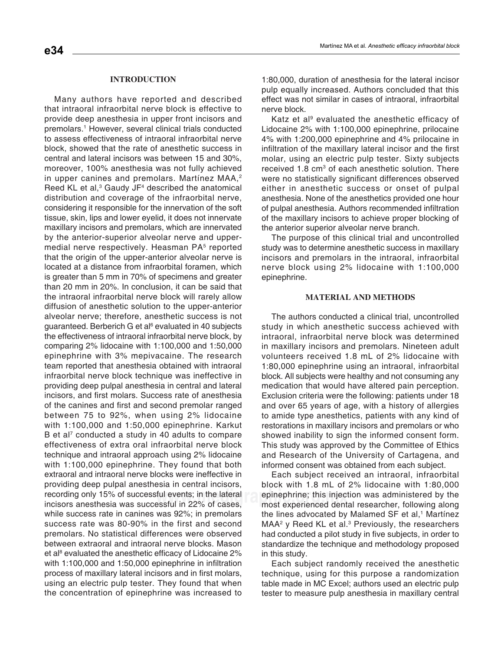# **INTRODUCTION**

Many authors have reported and described that intraoral infraorbital nerve block is effective to provide deep anesthesia in upper front incisors and premolars.<sup>1</sup> However, several clinical trials conducted to assess effectiveness of intraoral infraorbital nerve block, showed that the rate of anesthetic success in central and lateral incisors was between 15 and 30%, moreover, 100% anesthesia was not fully achieved in upper canines and premolars. Martínez MAA,<sup>2</sup> Reed KL et al, $3$  Gaudy JF $4$  described the anatomical distribution and coverage of the infraorbital nerve, considering it responsible for the innervation of the soft tissue, skin, lips and lower eyelid, it does not innervate maxillary incisors and premolars, which are innervated by the anterior-superior alveolar nerve and uppermedial nerve respectively. Heasman PA<sup>5</sup> reported that the origin of the upper-anterior alveolar nerve is located at a distance from infraorbital foramen, which is greater than 5 mm in 70% of specimens and greater than 20 mm in 20%. In conclusion, it can be said that the intraoral infraorbital nerve block will rarely allow diffusion of anesthetic solution to the upper-anterior alveolar nerve; therefore, anesthetic success is not guaranteed. Berberich G et al<sup>6</sup> evaluated in 40 subjects the effectiveness of intraoral infraorbital nerve block, by comparing 2% lidocaine with 1:100,000 and 1:50,000 epinephrine with 3% mepivacaine. The research team reported that anesthesia obtained with intraoral infraorbital nerve block technique was ineffective in providing deep pulpal anesthesia in central and lateral incisors, and first molars. Success rate of anesthesia of the canines and first and second premolar ranged between 75 to 92%, when using 2% lidocaine with 1:100,000 and 1:50,000 epinephrine. Karkut B et al<sup>7</sup> conducted a study in 40 adults to compare effectiveness of extra oral infraorbital nerve block technique and intraoral approach using 2% lidocaine with 1:100,000 epinephrine. They found that both extraoral and intraoral nerve blocks were ineffective in providing deep pulpal anesthesia in central incisors, recording only 15% of successful events; in the lateral incisors anesthesia was successful in 22% of cases, while success rate in canines was 92%; in premolars success rate was 80-90% in the first and second premolars. No statistical differences were observed between extraoral and intraoral nerve blocks. Mason et al<sup>8</sup> evaluated the anesthetic efficacy of Lidocaine 2% with  $1:100,000$  and  $1:50,000$  epinephrine in infiltration process of maxillary lateral incisors and in first molars, using an electric pulp tester. They found that when the concentration of epinephrine was increased to

1:80,000, duration of anesthesia for the lateral incisor pulp equally increased. Authors concluded that this effect was not similar in cases of intraoral, infraorbital nerve block.

Katz et al<sup>9</sup> evaluated the anesthetic efficacy of Lidocaine 2% with 1:100,000 epinephrine, prilocaine 4% with 1:200,000 epinephrine and 4% prilocaine in infiltration of the maxillary lateral incisor and the first molar, using an electric pulp tester. Sixty subjects received  $1.8 \text{ cm}^3$  of each anesthetic solution. There were no statistically significant differences observed either in anesthetic success or onset of pulpal anesthesia. None of the anesthetics provided one hour of pulpal anesthesia. Authors recommended infiltration of the maxillary incisors to achieve proper blocking of the anterior superior alveolar nerve branch.

The purpose of this clinical trial and uncontrolled study was to determine anesthetic success in maxillary incisors and premolars in the intraoral, infraorbital nerve block using 2% lidocaine with 1:100,000 epinephrine.

## **MATERIAL AND METHODS**

The authors conducted a clinical trial, uncontrolled study in which anesthetic success achieved with intraoral, infraorbital nerve block was determined in maxillary incisors and premolars. Nineteen adult volunteers received 1.8 mL of 2% lidocaine with 1:80,000 epinephrine using an intraoral, infraorbital block. All subjects were healthy and not consuming any medication that would have altered pain perception. Exclusion criteria were the following: patients under 18 and over 65 years of age, with a history of allergies to amide type anesthetics, patients with any kind of restorations in maxillary incisors and premolars or who showed inability to sign the informed consent form. This study was approved by the Committee of Ethics and Research of the University of Cartagena, and informed consent was obtained from each subject.

ful events; in the lateral epinephrine; this injection was administered by the<br>essful in 22% of cases. most experienced dental researcher\_following along Each subject received an intraoral, infraorbital block with 1.8 mL of 2% lidocaine with 1:80,000 most experienced dental researcher, following along the lines advocated by Malamed SF et al,<sup>1</sup> Martínez  $MAA<sup>2</sup>$  y Reed KL et al.<sup>3</sup> Previously, the researchers had conducted a pilot study in five subjects, in order to standardize the technique and methodology proposed in this study.

> Each subject randomly received the anesthetic technique, using for this purpose a randomization table made in MC Excel; authors used an electric pulp tester to measure pulp anesthesia in maxillary central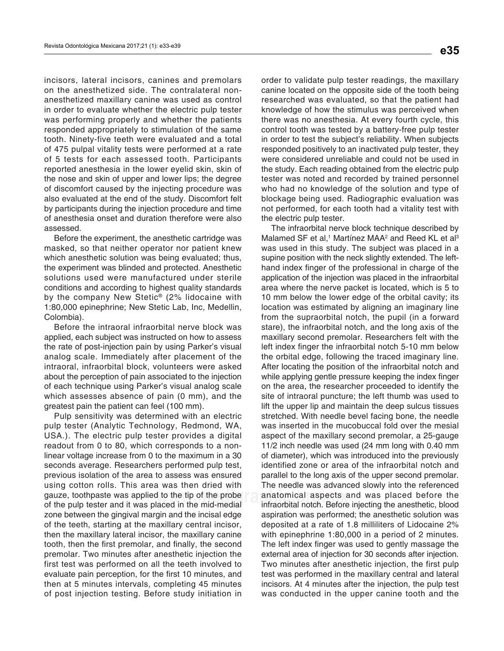incisors, lateral incisors, canines and premolars on the anesthetized side. The contralateral nonanesthetized maxillary canine was used as control in order to evaluate whether the electric pulp tester was performing properly and whether the patients responded appropriately to stimulation of the same tooth. Ninety-five teeth were evaluated and a total of 475 pulpal vitality tests were performed at a rate of 5 tests for each assessed tooth. Participants reported anesthesia in the lower eyelid skin, skin of the nose and skin of upper and lower lips; the degree of discomfort caused by the injecting procedure was also evaluated at the end of the study. Discomfort felt by participants during the injection procedure and time of anesthesia onset and duration therefore were also assessed.

Before the experiment, the anesthetic cartridge was masked, so that neither operator nor patient knew which anesthetic solution was being evaluated; thus, the experiment was blinded and protected. Anesthetic solutions used were manufactured under sterile conditions and according to highest quality standards by the company New Stetic® (2% lidocaine with 1:80,000 epinephrine; New Stetic Lab, Inc, Medellin, Colombia).

Before the intraoral infraorbital nerve block was applied, each subject was instructed on how to assess the rate of post-injection pain by using Parker's visual analog scale. Immediately after placement of the intraoral, infraorbital block, volunteers were asked about the perception of pain associated to the injection of each technique using Parker's visual analog scale which assesses absence of pain (0 mm), and the greatest pain the patient can feel (100 mm).

Pulp sensitivity was determined with an electric pulp tester (Analytic Technology, Redmond, WA, USA.). The electric pulp tester provides a digital readout from 0 to 80, which corresponds to a nonlinear voltage increase from 0 to the maximum in a 30 seconds average. Researchers performed pulp test, previous isolation of the area to assess was ensured using cotton rolls. This area was then dried with gauze, toothpaste was applied to the tip of the probe of the pulp tester and it was placed in the mid-medial zone between the gingival margin and the incisal edge of the teeth, starting at the maxillary central incisor, then the maxillary lateral incisor, the maxillary canine tooth, then the first premolar, and finally, the second premolar. Two minutes after anesthetic injection the first test was performed on all the teeth involved to evaluate pain perception, for the first 10 minutes, and then at 5 minutes intervals, completing 45 minutes of post injection testing. Before study initiation in

order to validate pulp tester readings, the maxillary canine located on the opposite side of the tooth being researched was evaluated, so that the patient had knowledge of how the stimulus was perceived when there was no anesthesia. At every fourth cycle, this control tooth was tested by a battery-free pulp tester in order to test the subject's reliability. When subjects responded positively to an inactivated pulp tester, they were considered unreliable and could not be used in the study. Each reading obtained from the electric pulp tester was noted and recorded by trained personnel who had no knowledge of the solution and type of blockage being used. Radiographic evaluation was not performed, for each tooth had a vitality test with the electric pulp tester.

I to the tip of the probe anatomical aspects and was placed before the laced in the mid-medial straighter integraphic. The infraorbital nerve block technique described by Malamed SF et al,<sup>1</sup> Martínez MAA<sup>2</sup> and Reed KL et al<sup>3</sup> was used in this study. The subject was placed in a supine position with the neck slightly extended. The lefthand index finger of the professional in charge of the application of the injection was placed in the infraorbital area where the nerve packet is located, which is 5 to 10 mm below the lower edge of the orbital cavity; its location was estimated by aligning an imaginary line from the supraorbital notch, the pupil (in a forward stare), the infraorbital notch, and the long axis of the maxillary second premolar. Researchers felt with the left index finger the infraorbital notch 5-10 mm below the orbital edge, following the traced imaginary line. After locating the position of the infraorbital notch and while applying gentle pressure keeping the index finger on the area, the researcher proceeded to identify the site of intraoral puncture; the left thumb was used to lift the upper lip and maintain the deep sulcus tissues stretched. With needle bevel facing bone, the needle was inserted in the mucobuccal fold over the mesial aspect of the maxillary second premolar, a 25-gauge 11/2 inch needle was used (24 mm long with 0.40 mm of diameter), which was introduced into the previously identified zone or area of the infraorbital notch and parallel to the long axis of the upper second premolar. The needle was advanced slowly into the referenced infraorbital notch. Before injecting the anesthetic, blood aspiration was performed; the anesthetic solution was deposited at a rate of 1.8 milliliters of Lidocaine 2% with epinephrine 1:80,000 in a period of 2 minutes. The left index finger was used to gently massage the external area of injection for 30 seconds after injection. Two minutes after anesthetic injection, the first pulp test was performed in the maxillary central and lateral incisors. At 4 minutes after the injection, the pulp test was conducted in the upper canine tooth and the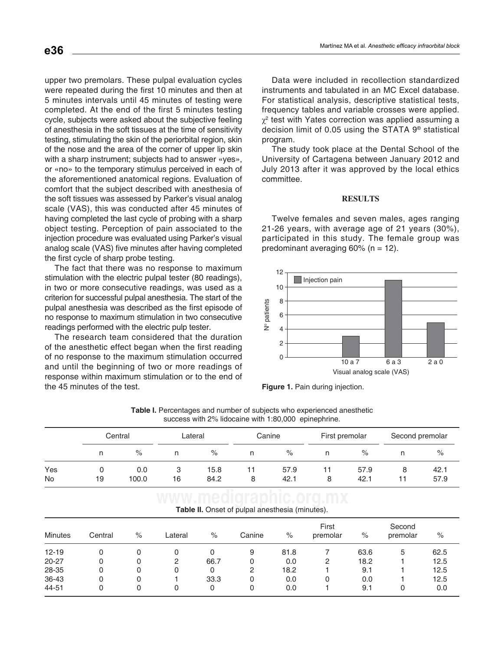comfort that the subject described with anesthesia of upper two premolars. These pulpal evaluation cycles were repeated during the first 10 minutes and then at 5 minutes intervals until 45 minutes of testing were completed. At the end of the first 5 minutes testing cycle, subjects were asked about the subjective feeling of anesthesia in the soft tissues at the time of sensitivity testing, stimulating the skin of the periorbital region, skin of the nose and the area of the corner of upper lip skin with a sharp instrument; subjects had to answer «yes», or «no» to the temporary stimulus perceived in each of the aforementioned anatomical regions. Evaluation of the soft tissues was assessed by Parker's visual analog scale (VAS), this was conducted after 45 minutes of having completed the last cycle of probing with a sharp object testing. Perception of pain associated to the injection procedure was evaluated using Parker's visual analog scale (VAS) five minutes after having completed the first cycle of sharp probe testing.

The fact that there was no response to maximum stimulation with the electric pulpal tester (80 readings), in two or more consecutive readings, was used as a criterion for successful pulpal anesthesia. The start of the pulpal anesthesia was described as the first episode of no response to maximum stimulation in two consecutive readings performed with the electric pulp tester.

The research team considered that the duration of the anesthetic effect began when the first reading of no response to the maximum stimulation occurred and until the beginning of two or more readings of response within maximum stimulation or to the end of the 45 minutes of the test.

Data were included in recollection standardized instruments and tabulated in an MC Excel database. For statistical analysis, descriptive statistical tests, frequency tables and variable crosses were applied.  $\chi^2$  test with Yates correction was applied assuming a decision limit of 0.05 using the STATA 9® statistical program.

The study took place at the Dental School of the University of Cartagena between January 2012 and July 2013 after it was approved by the local ethics committee.

#### **RESULTS**

Twelve females and seven males, ages ranging 21-26 years, with average age of 21 years (30%), participated in this study. The female group was predominant averaging  $60\%$  (n = 12).



**Figure 1.** Pain during injection.

|                  | success with 2% lidocaine with 1:80,000 epinephrine. |              |         |              |         |              |                |              |                 |              |  |
|------------------|------------------------------------------------------|--------------|---------|--------------|---------|--------------|----------------|--------------|-----------------|--------------|--|
|                  | Central                                              |              | Lateral |              | Canine  |              | First premolar |              | Second premolar |              |  |
|                  | n                                                    | %            |         | %            | n       | %            | n              | $\%$         |                 | %            |  |
| Yes<br><b>No</b> | 19                                                   | 0.0<br>100.0 | 3<br>16 | 15.8<br>84.2 | 11<br>8 | 57.9<br>42.1 | 8              | 57.9<br>42.1 | 8<br>11         | 42.1<br>57.9 |  |

**Table I.** Percentages and number of subjects who experienced anesthetic

| Table II. Onset of pulpal anesthesia (minutes). |  |
|-------------------------------------------------|--|

| <b>Minutes</b> | Central | % | Lateral | $\%$ | Canine | $\%$ | First<br>premolar | $\%$ | Second<br>premolar | $\%$ |
|----------------|---------|---|---------|------|--------|------|-------------------|------|--------------------|------|
| $12 - 19$      | 0       | 0 |         | 0    | 9      | 81.8 |                   | 63.6 | 5                  | 62.5 |
| 20-27          | 0       | 0 | 2       | 66.7 | 0      | 0.0  | 2                 | 18.2 |                    | 12.5 |
| 28-35          | 0       | 0 | 0       | 0    | 2      | 18.2 |                   | 9.1  |                    | 12.5 |
| 36-43          | 0       | 0 |         | 33.3 | 0      | 0.0  |                   | 0.0  |                    | 12.5 |
| 44-51          | 0       | 0 |         | 0    | 0      | 0.0  |                   | 9.1  | 0                  | 0.0  |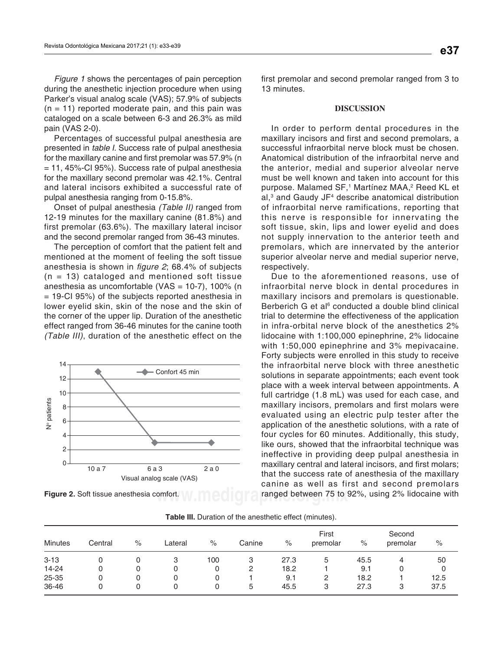Figure 1 shows the percentages of pain perception during the anesthetic injection procedure when using Parker's visual analog scale (VAS); 57.9% of subjects  $(n = 11)$  reported moderate pain, and this pain was cataloged on a scale between 6-3 and 26.3% as mild pain (VAS 2-0).

Percentages of successful pulpal anesthesia are presented in table I. Success rate of pulpal anesthesia for the maxillary canine and first premolar was 57.9% (n  $= 11, 45\%$ -CI 95%). Success rate of pulpal anesthesia for the maxillary second premolar was 42.1%. Central and lateral incisors exhibited a successful rate of pulpal anesthesia ranging from 0-15.8%.

Onset of pulpal anesthesia (Table II) ranged from 12-19 minutes for the maxillary canine (81.8%) and first premolar (63.6%). The maxillary lateral incisor and the second premolar ranged from 36-43 minutes.

The perception of comfort that the patient felt and mentioned at the moment of feeling the soft tissue anesthesia is shown in  $figure 2$ ; 68.4% of subjects  $(n = 13)$  cataloged and mentioned soft tissue anesthesia as uncomfortable (VAS = 10-7), 100% (n = 19-CI 95%) of the subjects reported anesthesia in lower eyelid skin, skin of the nose and the skin of the corner of the upper lip. Duration of the anesthetic effect ranged from 36-46 minutes for the canine tooth (Table III), duration of the anesthetic effect on the



first premolar and second premolar ranged from 3 to 13 minutes.

## **DISCUSSION**

In order to perform dental procedures in the maxillary incisors and first and second premolars, a successful infraorbital nerve block must be chosen. Anatomical distribution of the infraorbital nerve and the anterior, medial and superior alveolar nerve must be well known and taken into account for this purpose. Malamed SF,<sup>1</sup> Martínez MAA,<sup>2</sup> Reed KL et al,<sup>3</sup> and Gaudy JF<sup>4</sup> describe anatomical distribution of infraorbital nerve ramifications, reporting that this nerve is responsible for innervating the soft tissue, skin, lips and lower eyelid and does not supply innervation to the anterior teeth and premolars, which are innervated by the anterior superior alveolar nerve and medial superior nerve, respectively.

**Figure 2.** Soft tissue anesthesia comfort. **W IMCOIC Replace the Company of the S2%**, using 2% lidocaine with Due to the aforementioned reasons, use of infraorbital nerve block in dental procedures in maxillary incisors and premolars is questionable. Berberich G et al<sup>6</sup> conducted a double blind clinical trial to determine the effectiveness of the application in infra-orbital nerve block of the anesthetics 2% lidocaine with 1:100,000 epinephrine, 2% lidocaine with 1:50,000 epinephrine and 3% mepivacaine. Forty subjects were enrolled in this study to receive the infraorbital nerve block with three anesthetic solutions in separate appointments; each event took place with a week interval between appointments. A full cartridge (1.8 mL) was used for each case, and maxillary incisors, premolars and first molars were evaluated using an electric pulp tester after the application of the anesthetic solutions, with a rate of four cycles for 60 minutes. Additionally, this study, like ours, showed that the infraorbital technique was ineffective in providing deep pulpal anesthesia in maxillary central and lateral incisors, and first molars; that the success rate of anesthesia of the maxillary canine as well as first and second premolars

| <b>Minutes</b> | Central |   | Lateral |      |        |      | First    |      | Second<br>premolar | $\%$ |
|----------------|---------|---|---------|------|--------|------|----------|------|--------------------|------|
|                |         | % |         | $\%$ | Canine | $\%$ | premolar | $\%$ |                    |      |
| $3 - 13$       | 0       | 0 | 3       | 100  | 3      | 27.3 | 5        | 45.5 | 4                  | 50   |
| 14-24          | 0       | 0 | 0       | 0    | 2      | 18.2 |          | 9.1  | 0                  | 0    |
| 25-35          | 0       | 0 | 0       | 0    |        | 9.1  | 2        | 18.2 |                    | 12.5 |
| 36-46          | 0       | 0 |         | 0    | 5      | 45.5 | 3        | 27.3 | 3                  | 37.5 |

**Table III.** Duration of the anesthetic effect (minutes).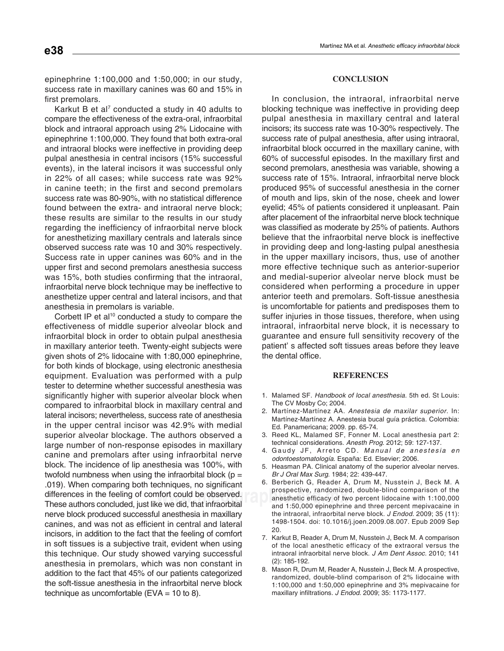epinephrine 1:100,000 and 1:50,000; in our study, success rate in maxillary canines was 60 and 15% in first premolars.

Karkut B et al<sup>7</sup> conducted a study in 40 adults to compare the effectiveness of the extra-oral, infraorbital block and intraoral approach using 2% Lidocaine with epinephrine 1:100,000. They found that both extra-oral and intraoral blocks were ineffective in providing deep pulpal anesthesia in central incisors (15% successful events), in the lateral incisors it was successful only in 22% of all cases; while success rate was 92% in canine teeth; in the first and second premolars success rate was 80-90%, with no statistical difference found between the extra- and intraoral nerve block; these results are similar to the results in our study regarding the inefficiency of infraorbital nerve block for anesthetizing maxillary centrals and laterals since observed success rate was 10 and 30% respectively. Success rate in upper canines was 60% and in the upper first and second premolars anesthesia success was 15%, both studies confirming that the intraoral, infraorbital nerve block technique may be ineffective to anesthetize upper central and lateral incisors, and that anesthesia in premolars is variable.

differences in the feeling of comfort could be observed.<br>
These authors concluded just like we did that infraorbital and the one opport two Corbett IP et al<sup>10</sup> conducted a study to compare the effectiveness of middle superior alveolar block and infraorbital block in order to obtain pulpal anesthesia in maxillary anterior teeth. Twenty-eight subjects were given shots of 2% lidocaine with 1:80,000 epinephrine, for both kinds of blockage, using electronic anesthesia equipment. Evaluation was performed with a pulp tester to determine whether successful anesthesia was significantly higher with superior alveolar block when compared to infraorbital block in maxillary central and lateral incisors; nevertheless, success rate of anesthesia in the upper central incisor was 42.9% with medial superior alveolar blockage. The authors observed a large number of non-response episodes in maxillary canine and premolars after using infraorbital nerve block. The incidence of lip anesthesia was 100%, with twofold numbness when using the infraorbital block ( $p =$ .019). When comparing both techniques, no significant These authors concluded, just like we did, that infraorbital nerve block produced successful anesthesia in maxillary canines, and was not as efficient in central and lateral incisors, in addition to the fact that the feeling of comfort in soft tissues is a subjective trait, evident when using this technique. Our study showed varying successful anesthesia in premolars, which was non constant in addition to the fact that 45% of our patients categorized the soft-tissue anesthesia in the infraorbital nerve block technique as uncomfortable (EVA =  $10$  to 8).

## **CONCLUSION**

In conclusion, the intraoral, infraorbital nerve blocking technique was ineffective in providing deep pulpal anesthesia in maxillary central and lateral incisors; its success rate was 10-30% respectively. The success rate of pulpal anesthesia, after using intraoral, infraorbital block occurred in the maxillary canine, with 60% of successful episodes. In the maxillary first and second premolars, anesthesia was variable, showing a success rate of 15%. Intraoral, infraorbital nerve block produced 95% of successful anesthesia in the corner of mouth and lips, skin of the nose, cheek and lower eyelid; 45% of patients considered it unpleasant. Pain after placement of the infraorbital nerve block technique was classified as moderate by 25% of patients. Authors believe that the infraorbital nerve block is ineffective in providing deep and long-lasting pulpal anesthesia in the upper maxillary incisors, thus, use of another more effective technique such as anterior-superior and medial-superior alveolar nerve block must be considered when performing a procedure in upper anterior teeth and premolars. Soft-tissue anesthesia is uncomfortable for patients and predisposes them to suffer injuries in those tissues, therefore, when using intraoral, infraorbital nerve block, it is necessary to guarantee and ensure full sensitivity recovery of the patient' s affected soft tissues areas before they leave the dental office.

#### **REFERENCES**

- 1. Malamed SF. Handbook of local anesthesia. 5th ed. St Louis: The CV Mosby Co; 2004.
- 2. Martínez-Martínez AA. Anestesia de maxilar superior. In: Martínez-Martínez A. Anestesia bucal guía práctica. Colombia: Ed. Panamericana; 2009. pp. 65-74.
- 3. Reed KL, Malamed SF, Fonner M. Local anesthesia part 2: technical considerations. Anesth Prog. 2012; 59: 127-137.
- 4. Gaudy JF, Arreto CD. Manual de anestesia en odontoestomatología. España: Ed. Elsevier; 2006.
- 5. Heasman PA. Clinical anatomy of the superior alveolar nerves. Br J Oral Max Surg. 1984; 22: 439-447.
- 6. Berberich G, Reader A, Drum M, Nusstein J, Beck M. A prospective, randomized, double-blind comparison of the anesthetic efficacy of two percent lidocaine with 1:100,000 and 1:50,000 epinephrine and three percent mepivacaine in the intraoral, infraorbital nerve block. J Endod. 2009; 35 (11): 1498-1504. doi: 10.1016/j.joen.2009.08.007. Epub 2009 Sep 20.
- 7. Karkut B, Reader A, Drum M, Nusstein J, Beck M. A comparison of the local anesthetic efficacy of the extraoral versus the intraoral infraorbital nerve block. J Am Dent Assoc. 2010; 141 (2): 185-192.
- 8. Mason R, Drum M, Reader A, Nusstein J, Beck M. A prospective, randomized, double-blind comparison of 2% lidocaine with 1:100,000 and 1:50,000 epinephrine and 3% mepivacaine for maxillary infiltrations. J Endod. 2009; 35: 1173-1177.